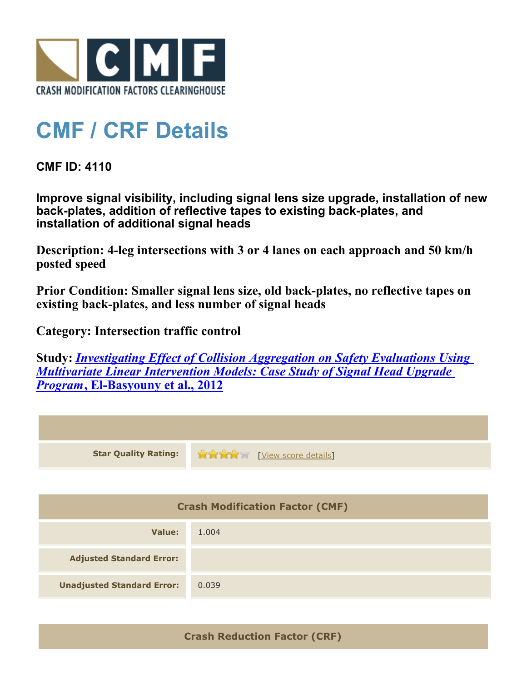

## **CMF / CRF Details**

**CMF ID: 4110**

**Improve signal visibility, including signal lens size upgrade, installation of new back-plates, addition of reflective tapes to existing back-plates, and installation of additional signal heads**

**Description: 4-leg intersections with 3 or 4 lanes on each approach and 50 km/h posted speed**

**Prior Condition: Smaller signal lens size, old back-plates, no reflective tapes on existing back-plates, and less number of signal heads**

**Category: Intersection traffic control**

**Study:** *[Investigating Effect of Collision Aggregation on Safety Evaluations Using](http://www.cmfclearinghouse.org/study_detail.cfm?stid=277) [Multivariate Linear Intervention Models: Case Study of Signal Head Upgrade](http://www.cmfclearinghouse.org/study_detail.cfm?stid=277) [Program](http://www.cmfclearinghouse.org/study_detail.cfm?stid=277)***[, El-Basyouny et al., 2012](http://www.cmfclearinghouse.org/study_detail.cfm?stid=277)**

| <b>Star Quality Rating:</b>            | View score details |  |
|----------------------------------------|--------------------|--|
|                                        |                    |  |
| <b>Crash Modification Factor (CMF)</b> |                    |  |
| <b>Value:</b>                          | 1.004              |  |
| <b>Adjusted Standard Error:</b>        |                    |  |
| <b>Unadjusted Standard Error:</b>      | 0.039              |  |

**Crash Reduction Factor (CRF)**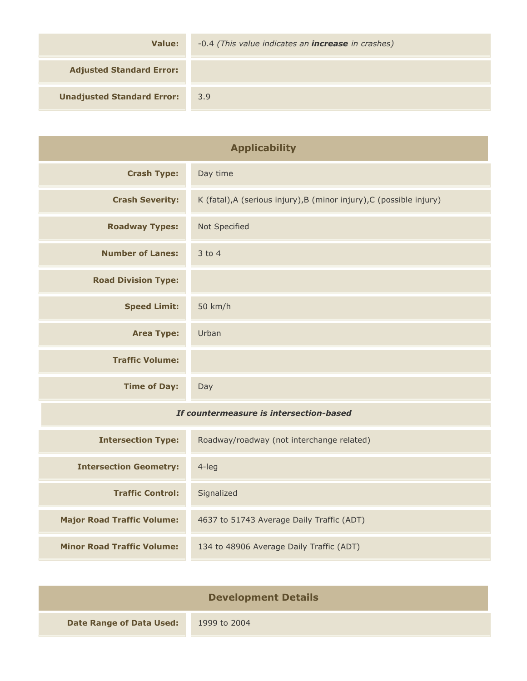| Value:                            | -0.4 (This value indicates an <b>increase</b> in crashes) |
|-----------------------------------|-----------------------------------------------------------|
| <b>Adjusted Standard Error:</b>   |                                                           |
| <b>Unadjusted Standard Error:</b> | 3.9                                                       |

| <b>Applicability</b>                    |                                                                      |
|-----------------------------------------|----------------------------------------------------------------------|
| <b>Crash Type:</b>                      | Day time                                                             |
| <b>Crash Severity:</b>                  | K (fatal), A (serious injury), B (minor injury), C (possible injury) |
| <b>Roadway Types:</b>                   | Not Specified                                                        |
| <b>Number of Lanes:</b>                 | 3 to 4                                                               |
| <b>Road Division Type:</b>              |                                                                      |
| <b>Speed Limit:</b>                     | 50 km/h                                                              |
| <b>Area Type:</b>                       | Urban                                                                |
| <b>Traffic Volume:</b>                  |                                                                      |
| <b>Time of Day:</b>                     | Day                                                                  |
| If countermeasure is intersection-based |                                                                      |
| <b>Intersection Type:</b>               | Roadway/roadway (not interchange related)                            |
| <b>Intersection Geometry:</b>           | $4$ -leg                                                             |
| <b>Traffic Control:</b>                 | Signalized                                                           |
| <b>Major Road Traffic Volume:</b>       | 4637 to 51743 Average Daily Traffic (ADT)                            |
| <b>Minor Road Traffic Volume:</b>       | 134 to 48906 Average Daily Traffic (ADT)                             |

| <b>Development Details</b>      |              |
|---------------------------------|--------------|
| <b>Date Range of Data Used:</b> | 1999 to 2004 |